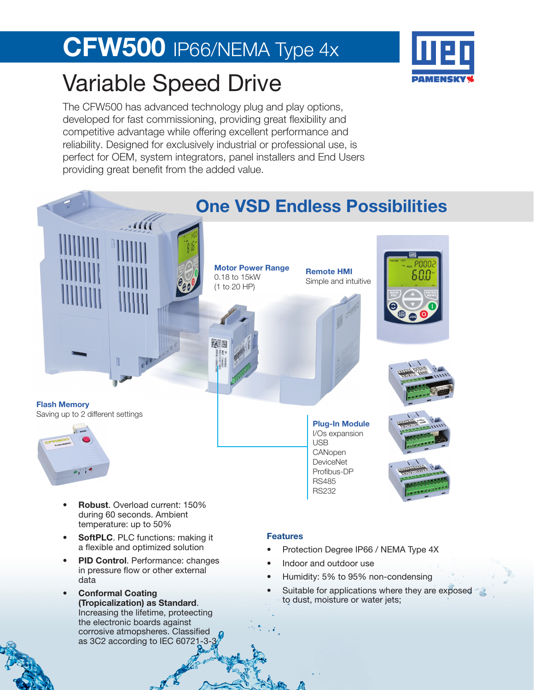# CFW500 IP66/NEMA Type 4x

### Variable Speed Drive

The CFW500 has advanced technology plug and play options, developed for fast commissioning, providing great flexibility and competitive advantage while offering excellent performance and reliability. Designed for exclusively industrial or professional use, is perfect for OEM, system integrators, panel installers and End Users providing great benefit from the added value.